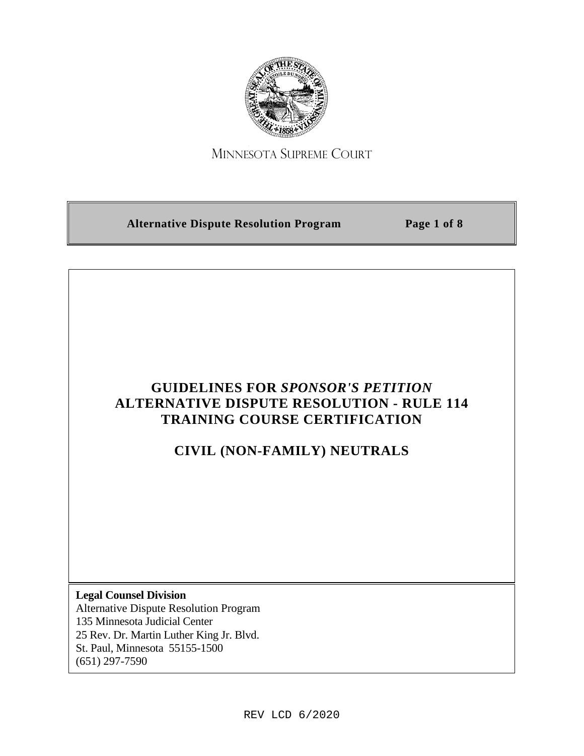

# MINNESOTA SUPREME COURT

**Alternative Dispute Resolution Program Page 1 of 8**

# **GUIDELINES FOR** *SPONSOR'S PETITION* **ALTERNATIVE DISPUTE RESOLUTION - RULE 114 TRAINING COURSE CERTIFICATION**

# **CIVIL (NON-FAMILY) NEUTRALS**

**Legal Counsel Division** Alternative Dispute Resolution Program 135 Minnesota Judicial Center 25 Rev. Dr. Martin Luther King Jr. Blvd. St. Paul, Minnesota 55155-1500 (651) 297-7590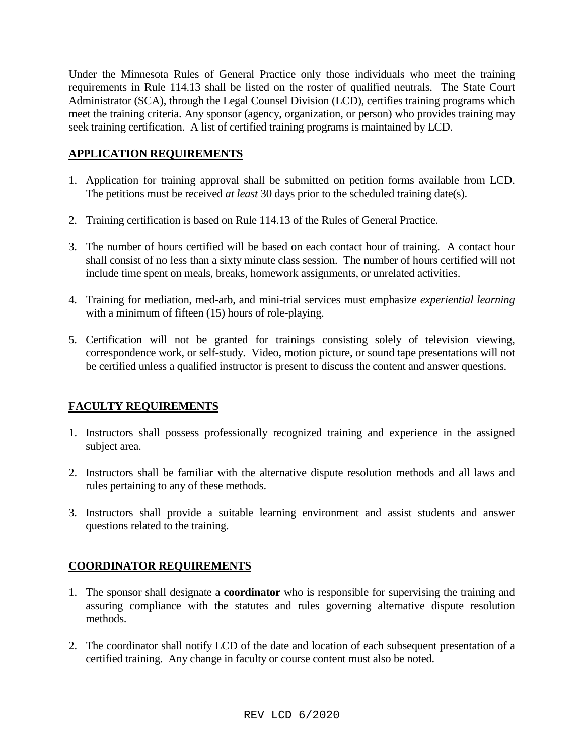Under the Minnesota Rules of General Practice only those individuals who meet the training requirements in Rule 114.13 shall be listed on the roster of qualified neutrals. The State Court Administrator (SCA), through the Legal Counsel Division (LCD), certifies training programs which meet the training criteria. Any sponsor (agency, organization, or person) who provides training may seek training certification. A list of certified training programs is maintained by LCD.

### **APPLICATION REQUIREMENTS**

- 1. Application for training approval shall be submitted on petition forms available from LCD. The petitions must be received *at least* 30 days prior to the scheduled training date(s).
- 2. Training certification is based on Rule 114.13 of the Rules of General Practice.
- 3. The number of hours certified will be based on each contact hour of training. A contact hour shall consist of no less than a sixty minute class session. The number of hours certified will not include time spent on meals, breaks, homework assignments, or unrelated activities.
- 4. Training for mediation, med-arb, and mini-trial services must emphasize *experiential learning* with a minimum of fifteen (15) hours of role-playing.
- 5. Certification will not be granted for trainings consisting solely of television viewing, correspondence work, or self-study. Video, motion picture, or sound tape presentations will not be certified unless a qualified instructor is present to discuss the content and answer questions.

## **FACULTY REQUIREMENTS**

- 1. Instructors shall possess professionally recognized training and experience in the assigned subject area.
- 2. Instructors shall be familiar with the alternative dispute resolution methods and all laws and rules pertaining to any of these methods.
- 3. Instructors shall provide a suitable learning environment and assist students and answer questions related to the training.

### **COORDINATOR REQUIREMENTS**

- 1. The sponsor shall designate a **coordinator** who is responsible for supervising the training and assuring compliance with the statutes and rules governing alternative dispute resolution methods.
- 2. The coordinator shall notify LCD of the date and location of each subsequent presentation of a certified training. Any change in faculty or course content must also be noted.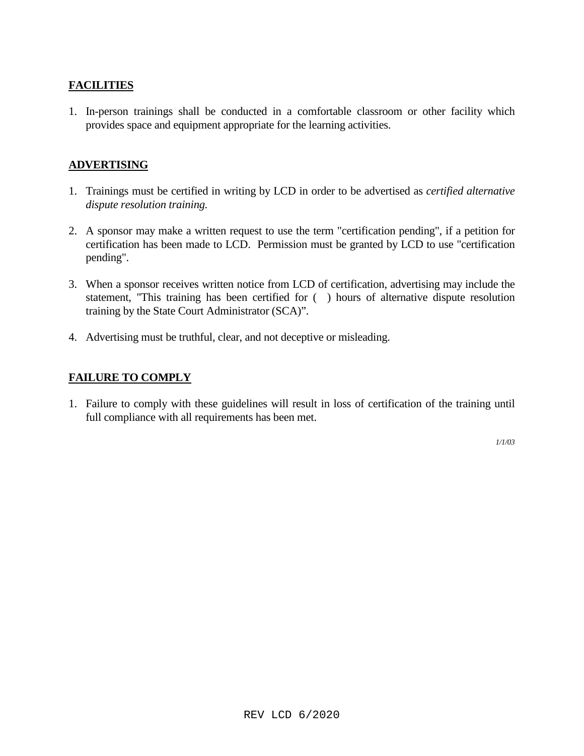### **FACILITIES**

1. In-person trainings shall be conducted in a comfortable classroom or other facility which provides space and equipment appropriate for the learning activities.

### **ADVERTISING**

- 1. Trainings must be certified in writing by LCD in order to be advertised as *certified alternative dispute resolution training.*
- 2. A sponsor may make a written request to use the term "certification pending", if a petition for certification has been made to LCD. Permission must be granted by LCD to use "certification pending".
- 3. When a sponsor receives written notice from LCD of certification, advertising may include the statement, "This training has been certified for ( ) hours of alternative dispute resolution training by the State Court Administrator (SCA)".
- 4. Advertising must be truthful, clear, and not deceptive or misleading.

### **FAILURE TO COMPLY**

1. Failure to comply with these guidelines will result in loss of certification of the training until full compliance with all requirements has been met.

*1/1/03*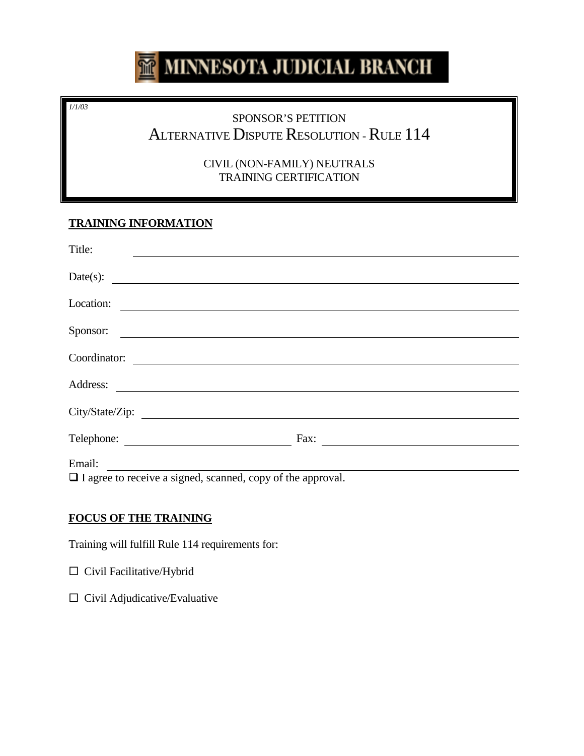# MINNESOTA JUDICIAL BRANCH

*1/1/03*

# SPONSOR'S PETITION ALTERNATIVE DISPUTE RESOLUTION - RULE 114

CIVIL (NON-FAMILY) NEUTRALS TRAINING CERTIFICATION

# **TRAINING INFORMATION**

| Title:                                                                                                                                                                                                                                             |      |
|----------------------------------------------------------------------------------------------------------------------------------------------------------------------------------------------------------------------------------------------------|------|
| Date(s):                                                                                                                                                                                                                                           |      |
| Location:                                                                                                                                                                                                                                          |      |
| Sponsor:                                                                                                                                                                                                                                           |      |
| Coordinator:                                                                                                                                                                                                                                       |      |
| <u> Alexandria de la contrada de la contrada de la contrada de la contrada de la contrada de la contrada de la c</u>                                                                                                                               |      |
| Address:                                                                                                                                                                                                                                           |      |
| City/State/Zip:                                                                                                                                                                                                                                    |      |
| Telephone:<br><u>and the community of the community of the community of the community of the community of the community of the community of the community of the community of the community of the community of the community of the community</u> | Fax: |
| Email:                                                                                                                                                                                                                                             |      |

 $\Box$  I agree to receive a signed, scanned, copy of the approval.

# **FOCUS OF THE TRAINING**

Training will fulfill Rule 114 requirements for:

Civil Facilitative/Hybrid

 $\Box$  Civil Adjudicative/Evaluative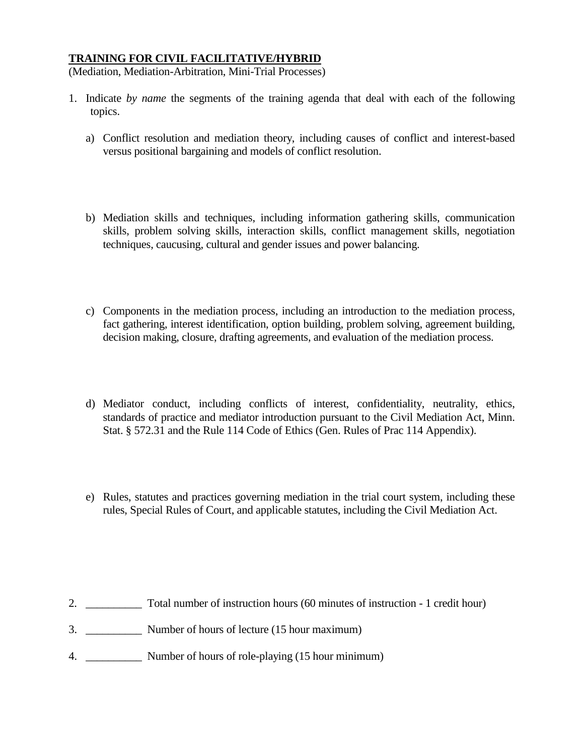#### **TRAINING FOR CIVIL FACILITATIVE/HYBRID**

(Mediation, Mediation-Arbitration, Mini-Trial Processes)

- 1. Indicate *by name* the segments of the training agenda that deal with each of the following topics.
	- a) Conflict resolution and mediation theory, including causes of conflict and interest-based versus positional bargaining and models of conflict resolution.
	- b) Mediation skills and techniques, including information gathering skills, communication skills, problem solving skills, interaction skills, conflict management skills, negotiation techniques, caucusing, cultural and gender issues and power balancing.
	- c) Components in the mediation process, including an introduction to the mediation process, fact gathering, interest identification, option building, problem solving, agreement building, decision making, closure, drafting agreements, and evaluation of the mediation process.
	- d) Mediator conduct, including conflicts of interest, confidentiality, neutrality, ethics, standards of practice and mediator introduction pursuant to the Civil Mediation Act, Minn. Stat. § 572.31 and the Rule 114 Code of Ethics (Gen. Rules of Prac 114 Appendix).
	- e) Rules, statutes and practices governing mediation in the trial court system, including these rules, Special Rules of Court, and applicable statutes, including the Civil Mediation Act.

- 2. \_\_\_\_\_\_\_\_\_\_ Total number of instruction hours (60 minutes of instruction 1 credit hour)
- 3. \_\_\_\_\_\_\_\_\_\_ Number of hours of lecture (15 hour maximum)
- 4. \_\_\_\_\_\_\_\_\_\_ Number of hours of role-playing (15 hour minimum)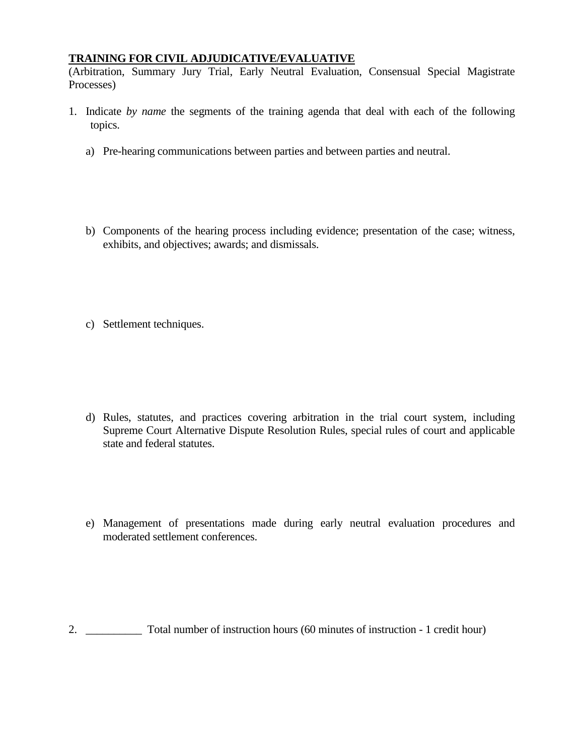#### **TRAINING FOR CIVIL ADJUDICATIVE/EVALUATIVE**

(Arbitration, Summary Jury Trial, Early Neutral Evaluation, Consensual Special Magistrate Processes)

- 1. Indicate *by name* the segments of the training agenda that deal with each of the following topics.
	- a) Pre-hearing communications between parties and between parties and neutral.
	- b) Components of the hearing process including evidence; presentation of the case; witness, exhibits, and objectives; awards; and dismissals.
	- c) Settlement techniques.

- d) Rules, statutes, and practices covering arbitration in the trial court system, including Supreme Court Alternative Dispute Resolution Rules, special rules of court and applicable state and federal statutes.
- e) Management of presentations made during early neutral evaluation procedures and moderated settlement conferences.

2. \_\_\_\_\_\_\_\_\_\_ Total number of instruction hours (60 minutes of instruction - 1 credit hour)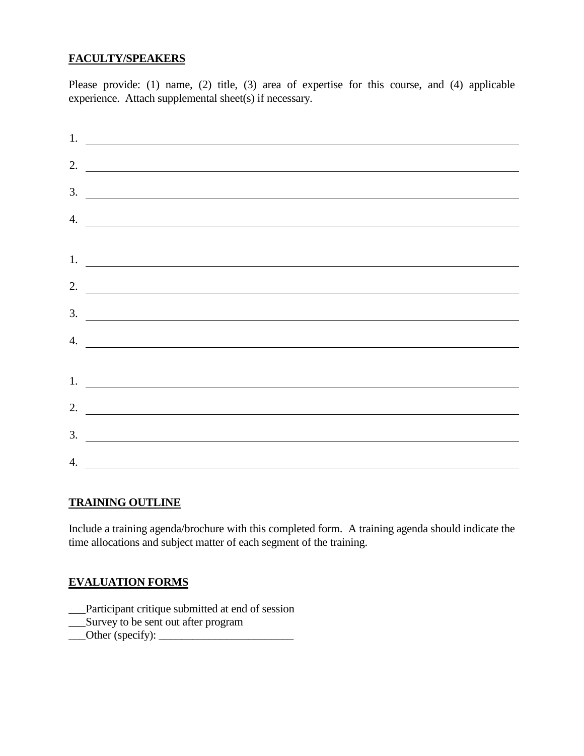### **FACULTY/SPEAKERS**

Please provide: (1) name, (2) title, (3) area of expertise for this course, and (4) applicable experience. Attach supplemental sheet(s) if necessary.

| $\frac{1}{2}$ .             |
|-----------------------------|
| 2. $\overline{\phantom{a}}$ |
| $\frac{3}{2}$               |
|                             |
| $\frac{4}{2}$               |
| 1.                          |
| 2. $\qquad$                 |
| $\frac{3}{2}$               |
| 4. $\qquad \qquad$          |
|                             |
| 1. $\overline{\phantom{a}}$ |
| 2. $\overline{\phantom{a}}$ |
|                             |
| $\frac{3}{2}$               |
| 4.                          |

#### **TRAINING OUTLINE**

Include a training agenda/brochure with this completed form. A training agenda should indicate the time allocations and subject matter of each segment of the training.

### **EVALUATION FORMS**

- \_\_\_Participant critique submitted at end of session
- \_\_\_Survey to be sent out after program
- $\qquad \qquad$   $\qquad$   $\qquad$   $\qquad$   $\qquad$   $\qquad$   $\qquad$   $\qquad$   $\qquad$   $\qquad$   $\qquad$   $\qquad$   $\qquad$   $\qquad$   $\qquad$   $\qquad$   $\qquad$   $\qquad$   $\qquad$   $\qquad$   $\qquad$   $\qquad$   $\qquad$   $\qquad$   $\qquad$   $\qquad$   $\qquad$   $\qquad$   $\qquad$   $\qquad$   $\qquad$   $\qquad$   $\qquad$   $\qquad$   $\qquad$   $\qquad$   $\$